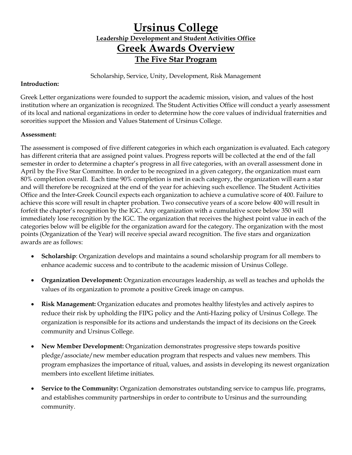### **Ursinus College Leadership Development and Student Activities Office Greek Awards Overview The Five Star Program**

Scholarship, Service, Unity, Development, Risk Management

#### **Introduction:**

Greek Letter organizations were founded to support the academic mission, vision, and values of the host institution where an organization is recognized. The Student Activities Office will conduct a yearly assessment of its local and national organizations in order to determine how the core values of individual fraternities and sororities support the Mission and Values Statement of Ursinus College.

#### **Assessment:**

The assessment is composed of five different categories in which each organization is evaluated. Each category has different criteria that are assigned point values. Progress reports will be collected at the end of the fall semester in order to determine a chapter's progress in all five categories, with an overall assessment done in April by the Five Star Committee. In order to be recognized in a given category, the organization must earn 80% completion overall. Each time 90% completion is met in each category, the organization will earn a star and will therefore be recognized at the end of the year for achieving such excellence. The Student Activities Office and the Inter-Greek Council expects each organization to achieve a cumulative score of 400. Failure to achieve this score will result in chapter probation. Two consecutive years of a score below 400 will result in forfeit the chapter's recognition by the IGC. Any organization with a cumulative score below 350 will immediately lose recognition by the IGC. The organization that receives the highest point value in each of the categories below will be eligible for the organization award for the category. The organization with the most points (Organization of the Year) will receive special award recognition. The five stars and organization awards are as follows:

- **Scholarship**: Organization develops and maintains a sound scholarship program for all members to enhance academic success and to contribute to the academic mission of Ursinus College.
- **Organization Development:** Organization encourages leadership, as well as teaches and upholds the values of its organization to promote a positive Greek image on campus.
- **Risk Management:** Organization educates and promotes healthy lifestyles and actively aspires to reduce their risk by upholding the FIPG policy and the Anti-Hazing policy of Ursinus College. The organization is responsible for its actions and understands the impact of its decisions on the Greek community and Ursinus College.
- **New Member Development:** Organization demonstrates progressive steps towards positive pledge/associate/new member education program that respects and values new members. This program emphasizes the importance of ritual, values, and assists in developing its newest organization members into excellent lifetime initiates.
- **Service to the Community:** Organization demonstrates outstanding service to campus life, programs, and establishes community partnerships in order to contribute to Ursinus and the surrounding community.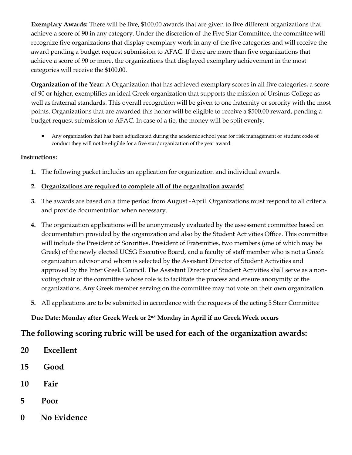**Exemplary Awards:** There will be five, \$100.00 awards that are given to five different organizations that achieve a score of 90 in any category. Under the discretion of the Five Star Committee, the committee will recognize five organizations that display exemplary work in any of the five categories and will receive the award pending a budget request submission to AFAC. If there are more than five organizations that achieve a score of 90 or more, the organizations that displayed exemplary achievement in the most categories will receive the \$100.00.

**Organization of the Year:** A Organization that has achieved exemplary scores in all five categories, a score of 90 or higher, exemplifies an ideal Greek organization that supports the mission of Ursinus College as well as fraternal standards. This overall recognition will be given to one fraternity or sorority with the most points. Organizations that are awarded this honor will be eligible to receive a \$500.00 reward, pending a budget request submission to AFAC. In case of a tie, the money will be split evenly.

 Any organization that has been adjudicated during the academic school year for risk management or student code of conduct they will not be eligible for a five star/organization of the year award.

#### **Instructions:**

**1.** The following packet includes an application for organization and individual awards.

#### **2. Organizations are required to complete all of the organization awards!**

- **3.** The awards are based on a time period from August -April. Organizations must respond to all criteria and provide documentation when necessary.
- **4.** The organization applications will be anonymously evaluated by the assessment committee based on documentation provided by the organization and also by the Student Activities Office. This committee will include the President of Sororities, President of Fraternities, two members (one of which may be Greek) of the newly elected UCSG Executive Board, and a faculty of staff member who is not a Greek organization advisor and whom is selected by the Assistant Director of Student Activities and approved by the Inter Greek Council. The Assistant Director of Student Activities shall serve as a nonvoting chair of the committee whose role is to facilitate the process and ensure anonymity of the organizations. Any Greek member serving on the committee may not vote on their own organization.
- **5.** All applications are to be submitted in accordance with the requests of the acting 5 Starr Committee

#### **Due Date: Monday after Greek Week or 2nd Monday in April if no Greek Week occurs**

#### **The following scoring rubric will be used for each of the organization awards:**

- **20 Excellent**
- **15 Good**
- **10 Fair**
- **5 Poor**
- **0 No Evidence**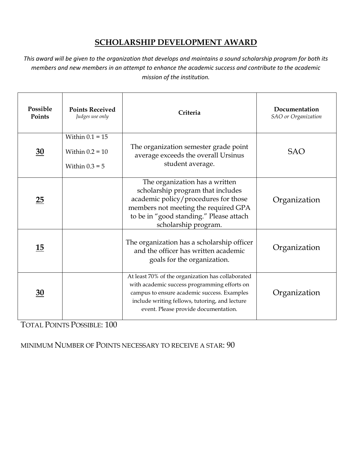### **SCHOLARSHIP DEVELOPMENT AWARD**

*This award will be given to the organization that develops and maintains a sound scholarship program for both its members and new members in an attempt to enhance the academic success and contribute to the academic mission of the institution.*

| Possible<br>Points | <b>Points Received</b><br>Judges use only                  | Criteria                                                                                                                                                                                                                                   | Documentation<br>SAO or Organization |
|--------------------|------------------------------------------------------------|--------------------------------------------------------------------------------------------------------------------------------------------------------------------------------------------------------------------------------------------|--------------------------------------|
| $\underline{30}$   | Within $0.1 = 15$<br>Within $0.2 = 10$<br>Within $0.3 = 5$ | The organization semester grade point<br>average exceeds the overall Ursinus<br>student average.                                                                                                                                           | <b>SAO</b>                           |
| 25                 |                                                            | The organization has a written<br>scholarship program that includes<br>academic policy/procedures for those<br>members not meeting the required GPA<br>to be in "good standing." Please attach<br>scholarship program.                     | Organization                         |
| 15                 |                                                            | The organization has a scholarship officer<br>and the officer has written academic<br>goals for the organization.                                                                                                                          | Organization                         |
| $\overline{30}$    |                                                            | At least 70% of the organization has collaborated<br>with academic success programming efforts on<br>campus to ensure academic success. Examples<br>include writing fellows, tutoring, and lecture<br>event. Please provide documentation. | Organization                         |

TOTAL POINTS POSSIBLE: 100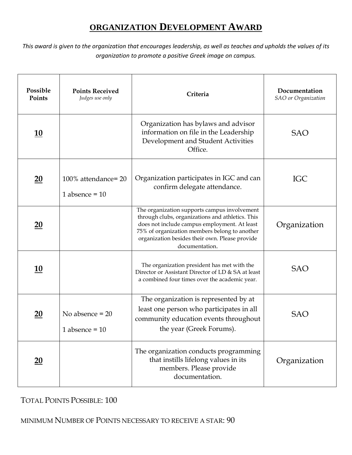## **ORGANIZATION DEVELOPMENT AWARD**

*This award is given to the organization that encourages leadership, as well as teaches and upholds the values of its organization to promote a positive Greek image on campus.*

| Possible<br>Points | <b>Points Received</b><br>Judges use only | Criteria                                                                                                                                                                                                                                                              | Documentation<br><b>SAO</b> or Organization |
|--------------------|-------------------------------------------|-----------------------------------------------------------------------------------------------------------------------------------------------------------------------------------------------------------------------------------------------------------------------|---------------------------------------------|
| <u> 10</u>         |                                           | Organization has bylaws and advisor<br>information on file in the Leadership<br>Development and Student Activities<br>Office.                                                                                                                                         | <b>SAO</b>                                  |
| $\underline{20}$   | 100% attendance=20<br>1 absence = $10$    | Organization participates in IGC and can<br>confirm delegate attendance.                                                                                                                                                                                              | <b>IGC</b>                                  |
| $\underline{20}$   |                                           | The organization supports campus involvement<br>through clubs, organizations and athletics. This<br>does not include campus employment. At least<br>75% of organization members belong to another<br>organization besides their own. Please provide<br>documentation. | Organization                                |
| <u>10</u>          |                                           | The organization president has met with the<br>Director or Assistant Director of LD & SA at least<br>a combined four times over the academic year.                                                                                                                    | <b>SAO</b>                                  |
| $\underline{20}$   | No absence $= 20$<br>1 absence = $10$     | The organization is represented by at<br>least one person who participates in all<br>community education events throughout<br>the year (Greek Forums).                                                                                                                | <b>SAO</b>                                  |
| <u>20</u>          |                                           | The organization conducts programming<br>that instills lifelong values in its<br>members. Please provide<br>documentation.                                                                                                                                            | Organization                                |

TOTAL POINTS POSSIBLE: 100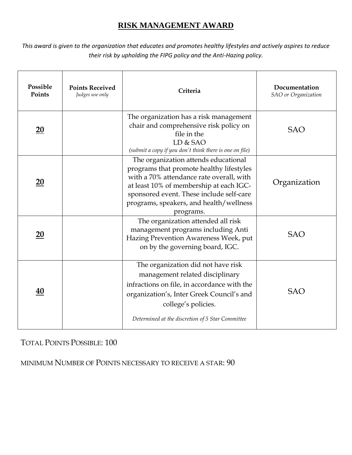### **RISK MANAGEMENT AWARD**

*This award is given to the organization that educates and promotes healthy lifestyles and actively aspires to reduce their risk by upholding the FIPG policy and the Anti-Hazing policy.*

| Possible<br>Points | <b>Points Received</b><br>Judges use only | Criteria                                                                                                                                                                                                                                                                    | Documentation<br>SAO or Organization |
|--------------------|-------------------------------------------|-----------------------------------------------------------------------------------------------------------------------------------------------------------------------------------------------------------------------------------------------------------------------------|--------------------------------------|
| $\underline{20}$   |                                           | The organization has a risk management<br>chair and comprehensive risk policy on<br>file in the<br>LD & SAO<br>(submit a copy if you don't think there is one on file)                                                                                                      | <b>SAO</b>                           |
| $\underline{20}$   |                                           | The organization attends educational<br>programs that promote healthy lifestyles<br>with a 70% attendance rate overall, with<br>at least 10% of membership at each IGC-<br>sponsored event. These include self-care<br>programs, speakers, and health/wellness<br>programs. | Organization                         |
| $\overline{20}$    |                                           | The organization attended all risk<br>management programs including Anti<br>Hazing Prevention Awareness Week, put<br>on by the governing board, IGC.                                                                                                                        | <b>SAO</b>                           |
| 40                 |                                           | The organization did not have risk<br>management related disciplinary<br>infractions on file, in accordance with the<br>organization's, Inter Greek Council's and<br>college's policies.<br>Determined at the discretion of 5 Star Committee                                | <b>SAO</b>                           |

TOTAL POINTS POSSIBLE: 100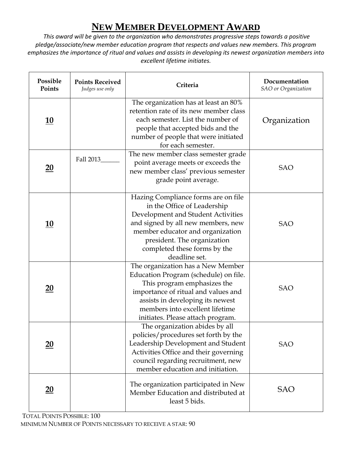# **NEW MEMBER DEVELOPMENT AWARD**

*This award will be given to the organization who demonstrates progressive steps towards a positive pledge/associate/new member education program that respects and values new members. This program emphasizes the importance of ritual and values and assists in developing its newest organization members into excellent lifetime initiates.*

| Possible<br>Points | <b>Points Received</b><br>Judges use only | Criteria                                                                                                                                                                                                                                                           | Documentation<br><b>SAO</b> or Organization |
|--------------------|-------------------------------------------|--------------------------------------------------------------------------------------------------------------------------------------------------------------------------------------------------------------------------------------------------------------------|---------------------------------------------|
| <u>10</u>          |                                           | The organization has at least an 80%<br>retention rate of its new member class<br>each semester. List the number of<br>people that accepted bids and the<br>number of people that were initiated<br>for each semester.                                             | Organization                                |
| $\underline{20}$   | Fall 2013                                 | The new member class semester grade<br>point average meets or exceeds the<br>new member class' previous semester<br>grade point average.                                                                                                                           | <b>SAO</b>                                  |
| <u>10</u>          |                                           | Hazing Compliance forms are on file<br>in the Office of Leadership<br>Development and Student Activities<br>and signed by all new members, new<br>member educator and organization<br>president. The organization<br>completed these forms by the<br>deadline set. | <b>SAO</b>                                  |
| $\underline{20}$   |                                           | The organization has a New Member<br>Education Program (schedule) on file.<br>This program emphasizes the<br>importance of ritual and values and<br>assists in developing its newest<br>members into excellent lifetime<br>initiates. Please attach program.       | <b>SAO</b>                                  |
| $\underline{20}$   |                                           | The organization abides by all<br>policies/procedures set forth by the<br>Leadership Development and Student<br>Activities Office and their governing<br>council regarding recruitment, new<br>member education and initiation.                                    | <b>SAO</b>                                  |
| $\underline{20}$   |                                           | The organization participated in New<br>Member Education and distributed at<br>least 5 bids.                                                                                                                                                                       | <b>SAO</b>                                  |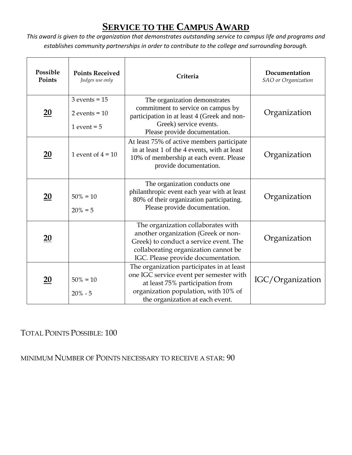## **SERVICE TO THE CAMPUS AWARD**

*This award is given to the organization that demonstrates outstanding service to campus life and programs and establishes community partnerships in order to contribute to the college and surrounding borough.*

| Possible<br>Points | <b>Points Received</b><br>Judges use only               | Criteria                                                                                                                                                                                           | Documentation<br><b>SAO</b> or Organization |
|--------------------|---------------------------------------------------------|----------------------------------------------------------------------------------------------------------------------------------------------------------------------------------------------------|---------------------------------------------|
| 20                 | $3$ events = $15$<br>$2$ events = $10$<br>1 event $= 5$ | The organization demonstrates<br>commitment to service on campus by<br>participation in at least 4 (Greek and non-<br>Greek) service events.<br>Please provide documentation.                      | Organization                                |
| $\overline{20}$    | 1 event of $4 = 10$                                     | At least 75% of active members participate<br>in at least 1 of the 4 events, with at least<br>10% of membership at each event. Please<br>provide documentation.                                    | Organization                                |
| $\underline{20}$   | $50\% = 10$<br>$20\% = 5$                               | The organization conducts one<br>philanthropic event each year with at least<br>80% of their organization participating.<br>Please provide documentation.                                          | Organization                                |
| 20                 |                                                         | The organization collaborates with<br>another organization (Greek or non-<br>Greek) to conduct a service event. The<br>collaborating organization cannot be<br>IGC. Please provide documentation.  | Organization                                |
| $\underline{20}$   | $50\% = 10$<br>$20\% - 5$                               | The organization participates in at least<br>one IGC service event per semester with<br>at least 75% participation from<br>organization population, with 10% of<br>the organization at each event. | IGC/Organization                            |

### TOTAL POINTS POSSIBLE: 100